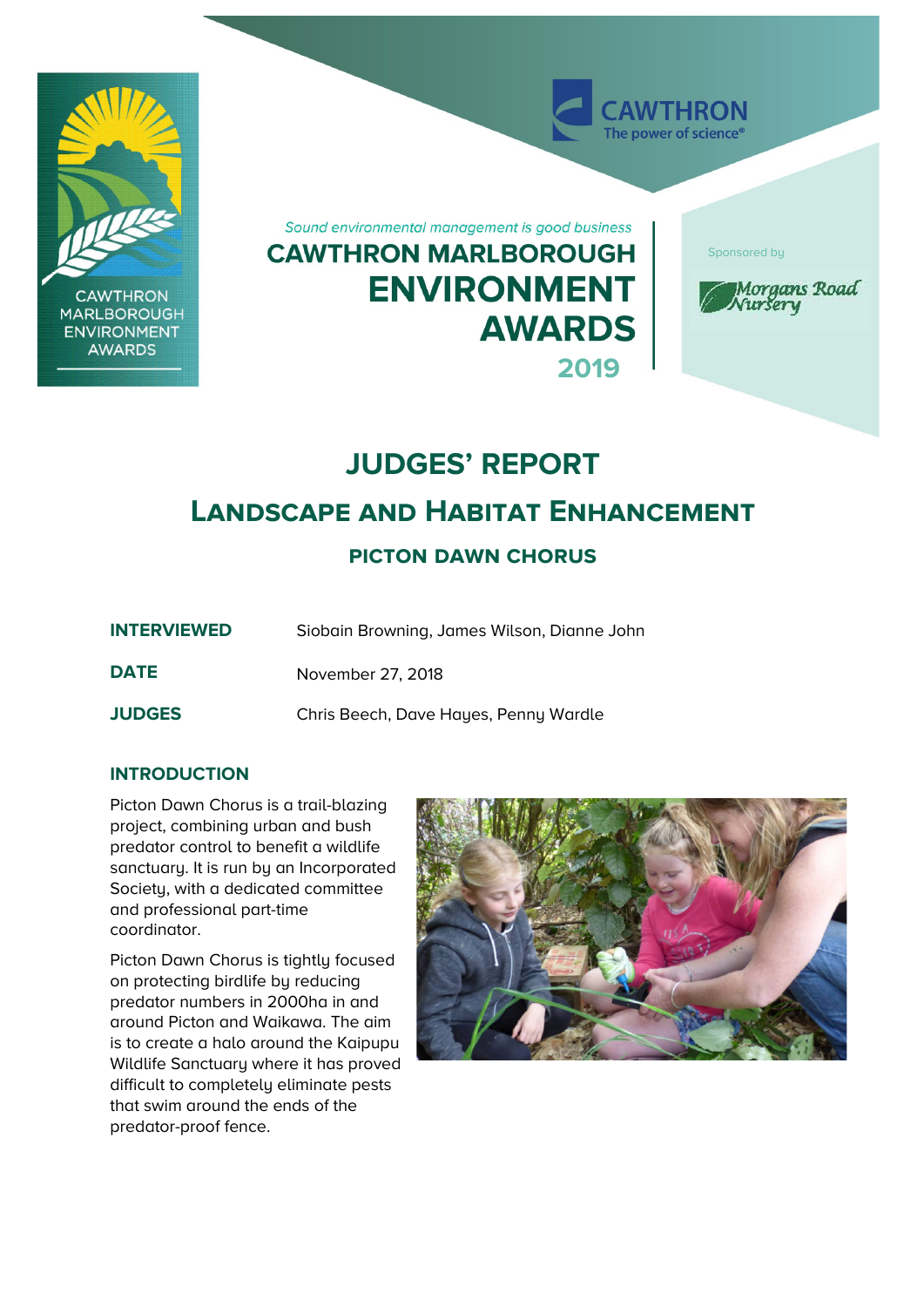

# **JUDGES' REPORT**

# **Landscape and Habitat Enhancement**

## **picton dawn chorus**

| <b>INTERVIEWED</b> | Siobain Browning, James Wilson, Dianne John |
|--------------------|---------------------------------------------|
| <b>DATE</b>        | November 27, 2018                           |
| <b>JUDGES</b>      | Chris Beech, Dave Hayes, Penny Wardle       |

### **INTRODUCTION**

Picton Dawn Chorus is a trail-blazing project, combining urban and bush predator control to benefit a wildlife sanctuary. It is run by an Incorporated Society, with a dedicated committee and professional part-time coordinator.

Picton Dawn Chorus is tightly focused on protecting birdlife by reducing predator numbers in 2000ha in and around Picton and Waikawa. The aim is to create a halo around the Kaipupu Wildlife Sanctuary where it has proved difficult to completely eliminate pests that swim around the ends of the predator-proof fence.

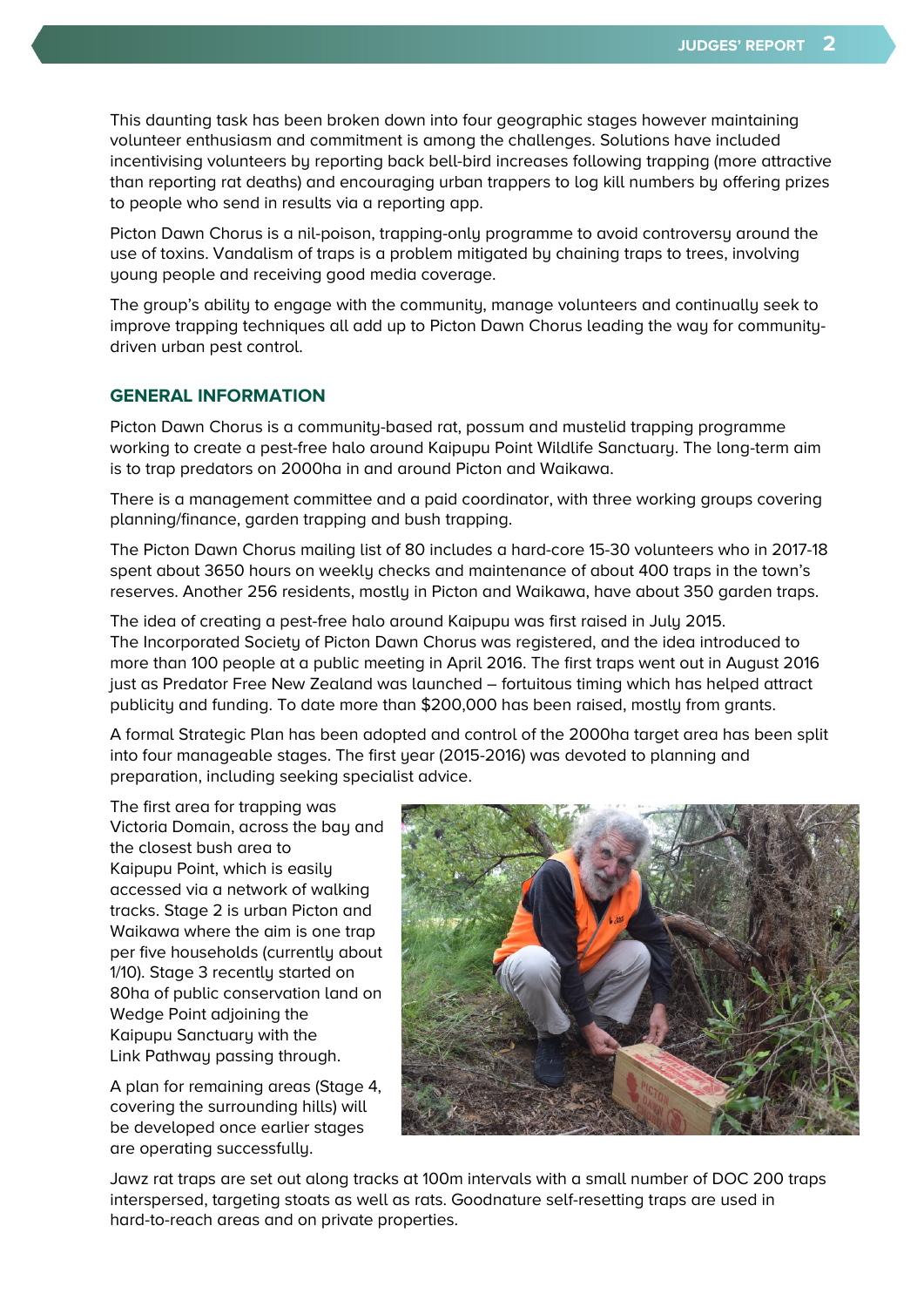This daunting task has been broken down into four geographic stages however maintaining volunteer enthusiasm and commitment is among the challenges. Solutions have included incentivising volunteers by reporting back bell-bird increases following trapping (more attractive than reporting rat deaths) and encouraging urban trappers to log kill numbers by offering prizes to people who send in results via a reporting app.

Picton Dawn Chorus is a nil-poison, trapping-only programme to avoid controversy around the use of toxins. Vandalism of traps is a problem mitigated by chaining traps to trees, involving young people and receiving good media coverage.

The group's ability to engage with the community, manage volunteers and continually seek to improve trapping techniques all add up to Picton Dawn Chorus leading the way for communitydriven urban pest control.

#### **GENERAL INFORMATION**

Picton Dawn Chorus is a community-based rat, possum and mustelid trapping programme working to create a pest-free halo around Kaipupu Point Wildlife Sanctuary. The long-term aim is to trap predators on 2000ha in and around Picton and Waikawa.

There is a management committee and a paid coordinator, with three working groups covering planning/finance, garden trapping and bush trapping.

The Picton Dawn Chorus mailing list of 80 includes a hard-core 15-30 volunteers who in 2017-18 spent about 3650 hours on weekly checks and maintenance of about 400 traps in the town's reserves. Another 256 residents, mostly in Picton and Waikawa, have about 350 garden traps.

The idea of creating a pest-free halo around Kaipupu was first raised in July 2015. The Incorporated Society of Picton Dawn Chorus was registered, and the idea introduced to more than 100 people at a public meeting in April 2016. The first traps went out in August 2016 just as Predator Free New Zealand was launched – fortuitous timing which has helped attract publicity and funding. To date more than \$200,000 has been raised, mostly from grants.

A formal Strategic Plan has been adopted and control of the 2000ha target area has been split into four manageable stages. The first year (2015-2016) was devoted to planning and preparation, including seeking specialist advice.

The first area for trapping was Victoria Domain, across the bay and the closest bush area to Kaipupu Point, which is easily accessed via a network of walking tracks. Stage 2 is urban Picton and Waikawa where the aim is one trap per five households (currently about 1/10). Stage 3 recently started on 80ha of public conservation land on Wedge Point adjoining the Kaipupu Sanctuary with the Link Pathway passing through.

A plan for remaining areas (Stage 4, covering the surrounding hills) will be developed once earlier stages are operating successfully.



Jawz rat traps are set out along tracks at 100m intervals with a small number of DOC 200 traps interspersed, targeting stoats as well as rats. Goodnature self-resetting traps are used in hard-to-reach areas and on private properties.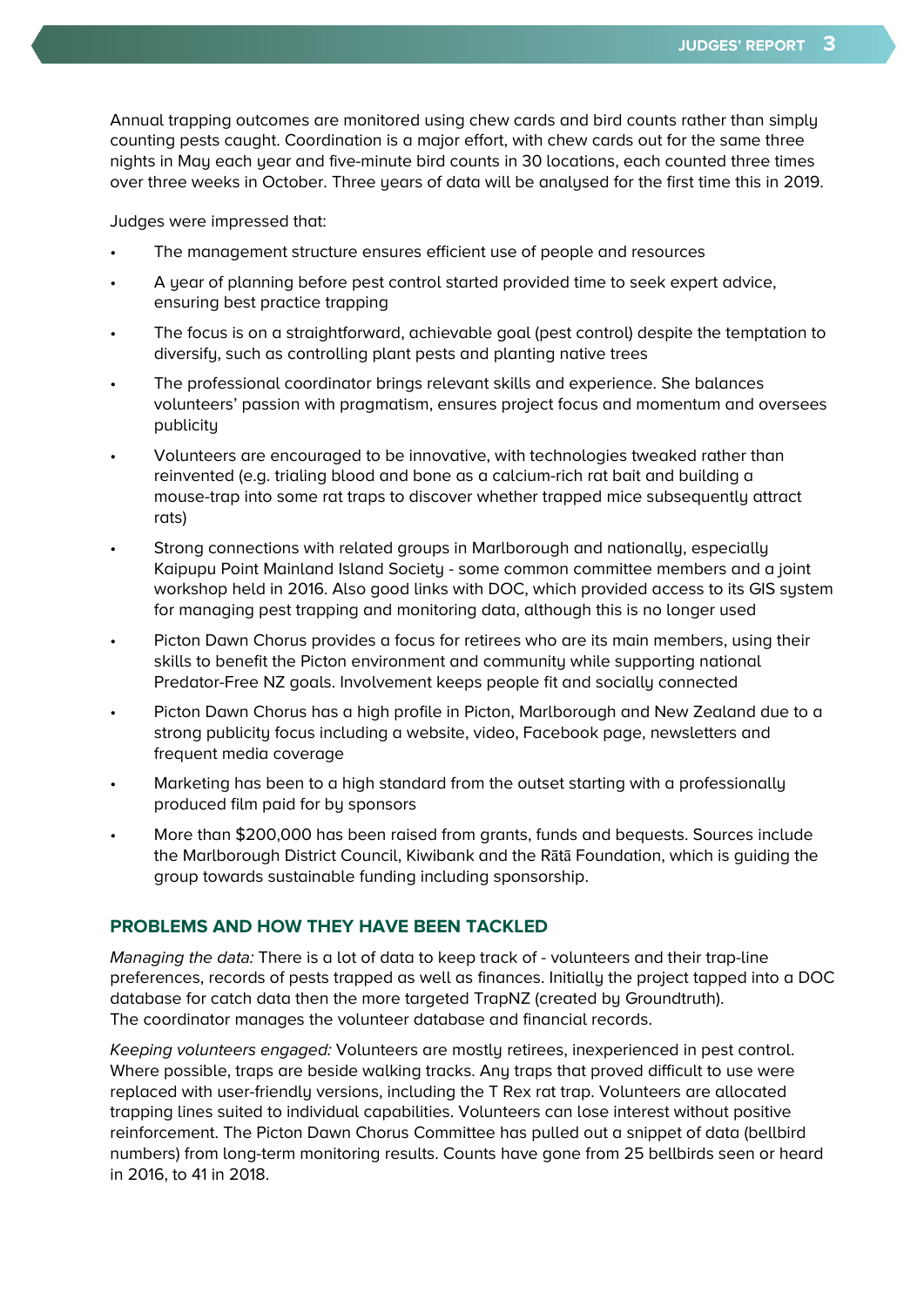Annual trapping outcomes are monitored using chew cards and bird counts rather than simply counting pests caught. Coordination is a major effort, with chew cards out for the same three nights in May each year and five-minute bird counts in 30 locations, each counted three times over three weeks in October. Three years of data will be analysed for the first time this in 2019.

Judges were impressed that:

- The management structure ensures efficient use of people and resources
- A year of planning before pest control started provided time to seek expert advice, ensuring best practice trapping
- The focus is on a straightforward, achievable goal (pest control) despite the temptation to diversify, such as controlling plant pests and planting native trees
- The professional coordinator brings relevant skills and experience. She balances volunteers' passion with pragmatism, ensures project focus and momentum and oversees publicity
- Volunteers are encouraged to be innovative, with technologies tweaked rather than reinvented (e.g. trialing blood and bone as a calcium-rich rat bait and building a mouse-trap into some rat traps to discover whether trapped mice subsequently attract rats)
- Strong connections with related groups in Marlborough and nationally, especially Kaipupu Point Mainland Island Society - some common committee members and a joint workshop held in 2016. Also good links with DOC, which provided access to its GIS system for managing pest trapping and monitoring data, although this is no longer used
- Picton Dawn Chorus provides a focus for retirees who are its main members, using their skills to benefit the Picton environment and community while supporting national Predator-Free NZ goals. Involvement keeps people fit and socially connected
- Picton Dawn Chorus has a high profile in Picton, Marlborough and New Zealand due to a strong publicity focus including a website, video, Facebook page, newsletters and frequent media coverage
- Marketing has been to a high standard from the outset starting with a professionally produced film paid for by sponsors
- More than \$200,000 has been raised from grants, funds and bequests. Sources include the Marlborough District Council, Kiwibank and the Rātā Foundation, which is guiding the group towards sustainable funding including sponsorship.

#### **PROBLEMS AND HOW THEY HAVE BEEN TACKLED**

Managing the data: There is a lot of data to keep track of - volunteers and their trap-line preferences, records of pests trapped as well as finances. Initially the project tapped into a DOC database for catch data then the more targeted TrapNZ (created by Groundtruth). The coordinator manages the volunteer database and financial records.

Keeping volunteers engaged: Volunteers are mostly retirees, inexperienced in pest control. Where possible, traps are beside walking tracks. Any traps that proved difficult to use were replaced with user-friendly versions, including the T Rex rat trap. Volunteers are allocated trapping lines suited to individual capabilities. Volunteers can lose interest without positive reinforcement. The Picton Dawn Chorus Committee has pulled out a snippet of data (bellbird numbers) from long-term monitoring results. Counts have gone from 25 bellbirds seen or heard in 2016, to 41 in 2018.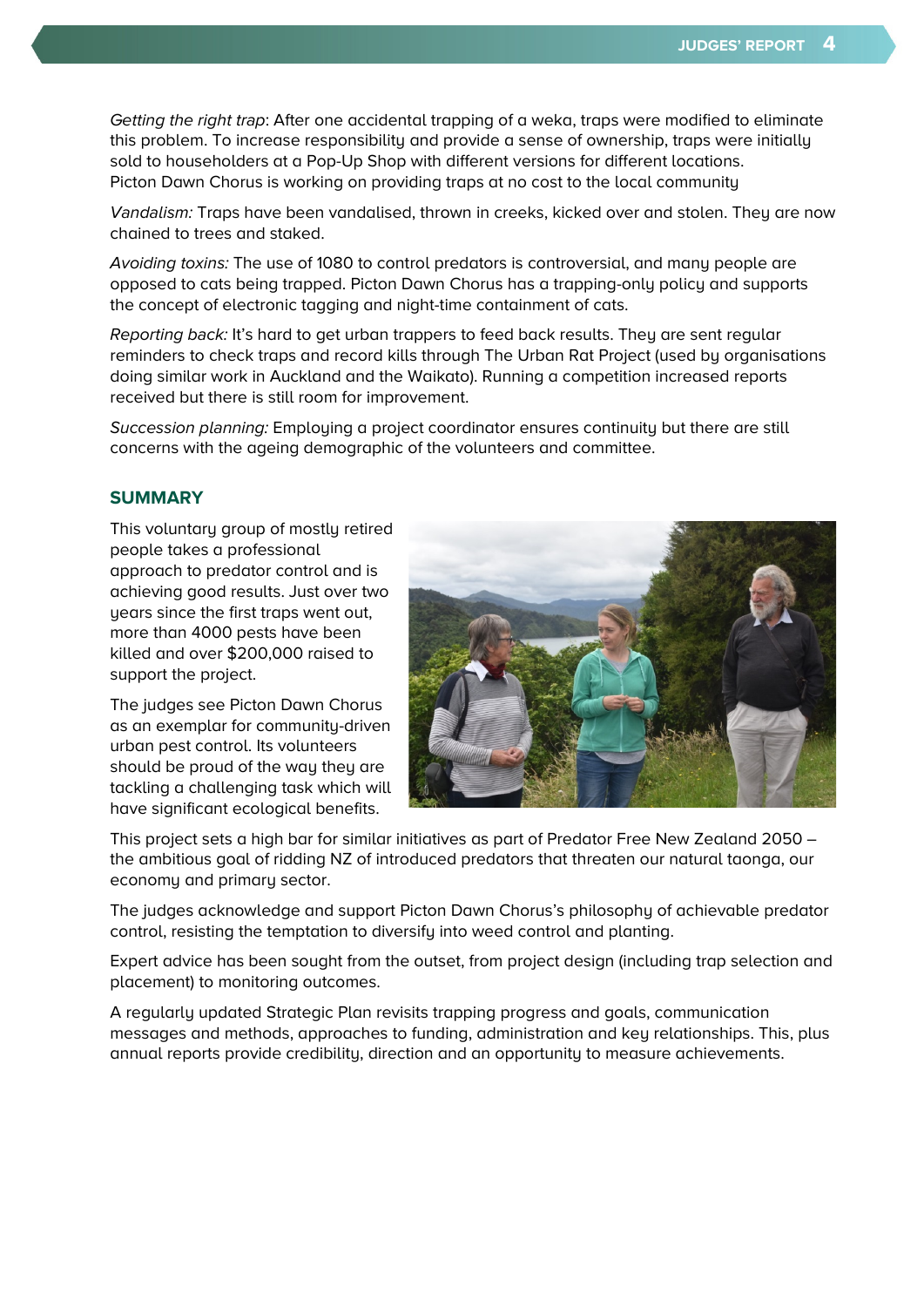Getting the right trap: After one accidental trapping of a weka, traps were modified to eliminate this problem. To increase responsibility and provide a sense of ownership, traps were initially sold to householders at a Pop-Up Shop with different versions for different locations. Picton Dawn Chorus is working on providing traps at no cost to the local community

Vandalism: Traps have been vandalised, thrown in creeks, kicked over and stolen. They are now chained to trees and staked.

Avoiding toxins: The use of 1080 to control predators is controversial, and many people are opposed to cats being trapped. Picton Dawn Chorus has a trapping-only policy and supports the concept of electronic tagging and night-time containment of cats.

Reporting back: It's hard to get urban trappers to feed back results. They are sent regular reminders to check traps and record kills through The Urban Rat Project (used by organisations doing similar work in Auckland and the Waikato). Running a competition increased reports received but there is still room for improvement.

Succession planning: Employing a project coordinator ensures continuity but there are still concerns with the ageing demographic of the volunteers and committee.

#### **SUMMARY**

This voluntary group of mostly retired people takes a professional approach to predator control and is achieving good results. Just over two years since the first traps went out, more than 4000 pests have been killed and over \$200,000 raised to support the project.

The judges see Picton Dawn Chorus as an exemplar for community-driven urban pest control. Its volunteers should be proud of the way they are tackling a challenging task which will have significant ecological benefits.



This project sets a high bar for similar initiatives as part of Predator Free New Zealand 2050 – the ambitious goal of ridding NZ of introduced predators that threaten our natural taonga, our economy and primary sector.

The judges acknowledge and support Picton Dawn Chorus's philosophy of achievable predator control, resisting the temptation to diversify into weed control and planting.

Expert advice has been sought from the outset, from project design (including trap selection and placement) to monitoring outcomes.

A regularly updated Strategic Plan revisits trapping progress and goals, communication messages and methods, approaches to funding, administration and key relationships. This, plus annual reports provide credibility, direction and an opportunity to measure achievements.